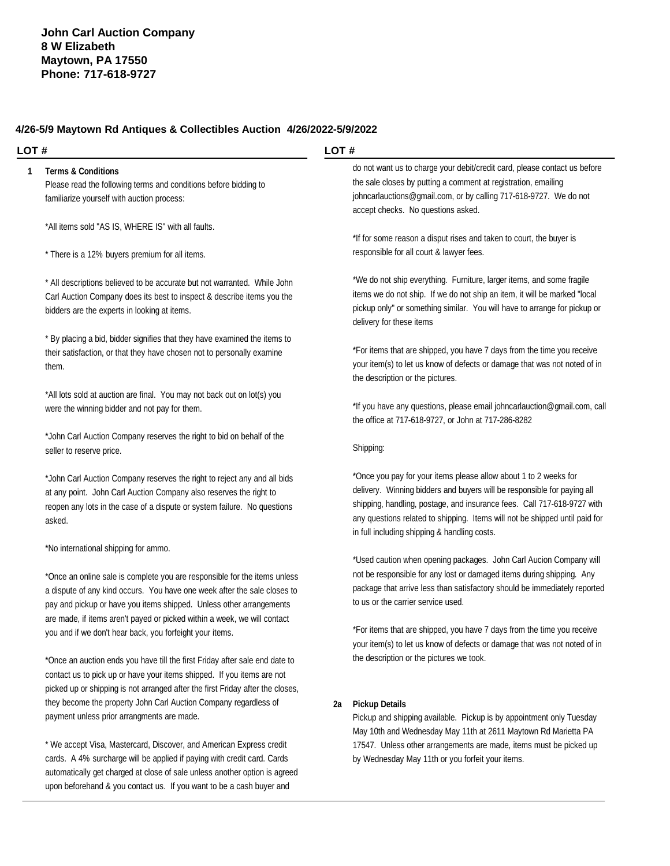#### **4/26-5/9 Maytown Rd Antiques & Collectibles Auction 4/26/2022-5/9/2022**

#### **LOT #**

#### **1 Terms & Conditions**

Please read the following terms and conditions before bidding to familiarize yourself with auction process:

\*All items sold "AS IS, WHERE IS" with all faults.

\* There is a 12% buyers premium for all items.

\* All descriptions believed to be accurate but not warranted. While John Carl Auction Company does its best to inspect & describe items you the bidders are the experts in looking at items.

\* By placing a bid, bidder signifies that they have examined the items to their satisfaction, or that they have chosen not to personally examine them.

\*All lots sold at auction are final. You may not back out on lot(s) you were the winning bidder and not pay for them.

\*John Carl Auction Company reserves the right to bid on behalf of the seller to reserve price.

\*John Carl Auction Company reserves the right to reject any and all bids at any point. John Carl Auction Company also reserves the right to reopen any lots in the case of a dispute or system failure. No questions asked.

\*No international shipping for ammo.

\*Once an online sale is complete you are responsible for the items unless a dispute of any kind occurs. You have one week after the sale closes to pay and pickup or have you items shipped. Unless other arrangements are made, if items aren't payed or picked within a week, we will contact you and if we don't hear back, you forfeight your items.

\*Once an auction ends you have till the first Friday after sale end date to contact us to pick up or have your items shipped. If you items are not picked up or shipping is not arranged after the first Friday after the closes, they become the property John Carl Auction Company regardless of payment unless prior arrangments are made.

\* We accept Visa, Mastercard, Discover, and American Express credit cards. A 4% surcharge will be applied if paying with credit card. Cards automatically get charged at close of sale unless another option is agreed upon beforehand & you contact us. If you want to be a cash buyer and

#### **LOT #**

do not want us to charge your debit/credit card, please contact us before the sale closes by putting a comment at registration, emailing [johncarlauctions@gmail.com,](mailto:johncarlauctions@gmail.com,) or by calling 717-618-9727. We do not accept checks. No questions asked.

\*If for some reason a disput rises and taken to court, the buyer is responsible for all court & lawyer fees.

\*We do not ship everything. Furniture, larger items, and some fragile items we do not ship. If we do not ship an item, it will be marked "local pickup only" or something similar. You will have to arrange for pickup or delivery for these items

\*For items that are shipped, you have 7 days from the time you receive your item(s) to let us know of defects or damage that was not noted of in the description or the pictures.

\*If you have any questions, please email [johncarlauction@gmail.com,](mailto:johncarlauction@gmail.com,) call the office at 717-618-9727, or John at 717-286-8282

#### Shipping:

\*Once you pay for your items please allow about 1 to 2 weeks for delivery. Winning bidders and buyers will be responsible for paying all shipping, handling, postage, and insurance fees. Call 717-618-9727 with any questions related to shipping. Items will not be shipped until paid for in full including shipping & handling costs.

\*Used caution when opening packages. John Carl Aucion Company will not be responsible for any lost or damaged items during shipping. Any package that arrive less than satisfactory should be immediately reported to us or the carrier service used.

\*For items that are shipped, you have 7 days from the time you receive your item(s) to let us know of defects or damage that was not noted of in the description or the pictures we took.

#### **2a Pickup Details**

Pickup and shipping available. Pickup is by appointment only Tuesday May 10th and Wednesday May 11th at 2611 Maytown Rd Marietta PA 17547. Unless other arrangements are made, items must be picked up by Wednesday May 11th or you forfeit your items.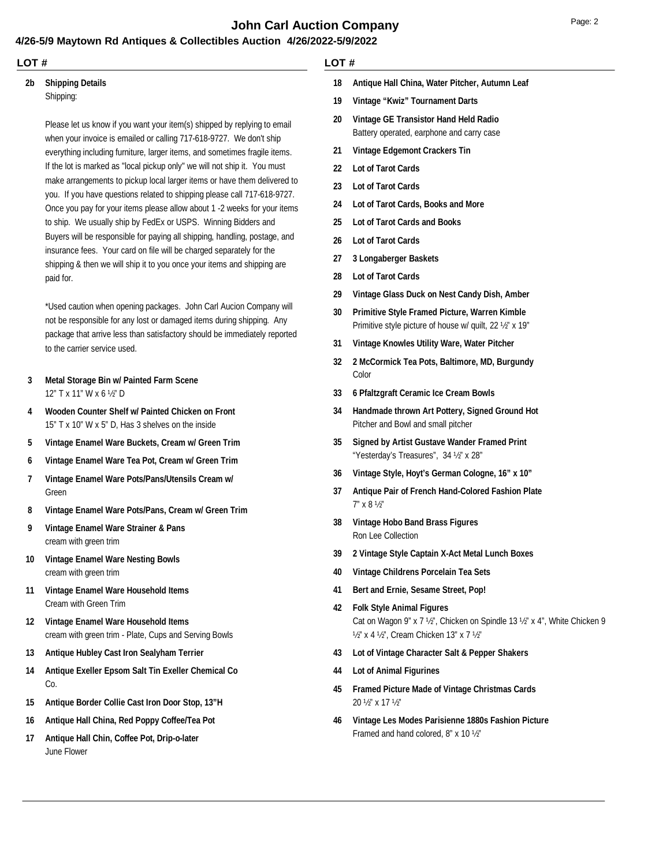## **John Carl Auction Company** Department of the Page: 2

#### **4/26-5/9 Maytown Rd Antiques & Collectibles Auction 4/26/2022-5/9/2022**

#### **LOT #**

# **2b Shipping Details**

Shipping:

Please let us know if you want your item(s) shipped by replying to email when your invoice is emailed or calling 717-618-9727. We don't ship everything including furniture, larger items, and sometimes fragile items. If the lot is marked as "local pickup only" we will not ship it. You must make arrangements to pickup local larger items or have them delivered to you. If you have questions related to shipping please call 717-618-9727. Once you pay for your items please allow about 1 -2 weeks for your items to ship. We usually ship by FedEx or USPS. Winning Bidders and Buyers will be responsible for paying all shipping, handling, postage, and insurance fees. Your card on file will be charged separately for the shipping & then we will ship it to you once your items and shipping are paid for.

\*Used caution when opening packages. John Carl Aucion Company will not be responsible for any lost or damaged items during shipping. Any package that arrive less than satisfactory should be immediately reported to the carrier service used.

- 12" T x 11" W x 6 ½" D **3 Metal Storage Bin w/ Painted Farm Scene**
- 15" T x 10" W x 5" D, Has 3 shelves on the inside **4 Wooden Counter Shelf w/ Painted Chicken on Front**
- **5 Vintage Enamel Ware Buckets, Cream w/ Green Trim**
- **6 Vintage Enamel Ware Tea Pot, Cream w/ Green Trim**
- Green **7 Vintage Enamel Ware Pots/Pans/Utensils Cream w/**
- **8 Vintage Enamel Ware Pots/Pans, Cream w/ Green Trim**
- cream with green trim **9 Vintage Enamel Ware Strainer & Pans**
- cream with green trim **10 Vintage Enamel Ware Nesting Bowls**
- Cream with Green Trim **11 Vintage Enamel Ware Household Items**
- cream with green trim Plate, Cups and Serving Bowls **12 Vintage Enamel Ware Household Items**
- **13 Antique Hubley Cast Iron Sealyham Terrier**
- Co. **14 Antique Exeller Epsom Salt Tin Exeller Chemical Co**
- **15 Antique Border Collie Cast Iron Door Stop, 13"H**
- **16 Antique Hall China, Red Poppy Coffee/Tea Pot**
- June Flower **17 Antique Hall Chin, Coffee Pot, Drip-o-later**

#### **LOT #**

- **18 Antique Hall China, Water Pitcher, Autumn Leaf**
- **19 Vintage "Kwiz" Tournament Darts**
- Battery operated, earphone and carry case **20 Vintage GE Transistor Hand Held Radio**
- **21 Vintage Edgemont Crackers Tin**
- **22 Lot of Tarot Cards**
- **23 Lot of Tarot Cards**
- **24 Lot of Tarot Cards, Books and More**
- **25 Lot of Tarot Cards and Books**
- **26 Lot of Tarot Cards**
- **27 3 Longaberger Baskets**
- **28 Lot of Tarot Cards**
- **29 Vintage Glass Duck on Nest Candy Dish, Amber**
- Primitive style picture of house w/ quilt, 22 ½" x 19" **30 Primitive Style Framed Picture, Warren Kimble**
- **31 Vintage Knowles Utility Ware, Water Pitcher**
- Color **32 2 McCormick Tea Pots, Baltimore, MD, Burgundy**
- **33 6 Pfaltzgraft Ceramic Ice Cream Bowls**
- Pitcher and Bowl and small pitcher **34 Handmade thrown Art Pottery, Signed Ground Hot**
- "Yesterday's Treasures", 34 ½" x 28" **35 Signed by Artist Gustave Wander Framed Print**
- **36 Vintage Style, Hoyt's German Cologne, 16" x 10"**
- 7" x 8 ½" **37 Antique Pair of French Hand-Colored Fashion Plate**
- Ron Lee Collection **38 Vintage Hobo Band Brass Figures**
- **39 2 Vintage Style Captain X-Act Metal Lunch Boxes**
- **40 Vintage Childrens Porcelain Tea Sets**
- **41 Bert and Ernie, Sesame Street, Pop!**
- Cat on Wagon 9" x 7 ½", Chicken on Spindle 13 ½" x 4", White Chicken 9 ½" x 4 ½", Cream Chicken 13" x 7 ½" **42 Folk Style Animal Figures**
- **43 Lot of Vintage Character Salt & Pepper Shakers**
- **44 Lot of Animal Figurines**
- 20 ½" x 17 ½" **45 Framed Picture Made of Vintage Christmas Cards**
- Framed and hand colored, 8" x 10 ½" **46 Vintage Les Modes Parisienne 1880s Fashion Picture**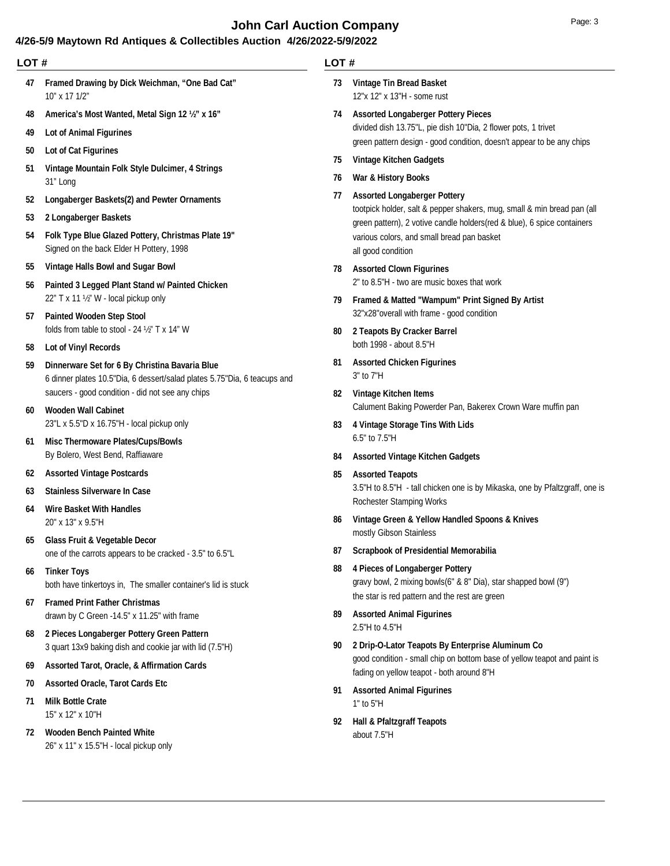## **John Carl Auction Company Page: 3 Page: 3**

#### **4/26-5/9 Maytown Rd Antiques & Collectibles Auction 4/26/2022-5/9/2022**

| LOT# |                                                                                                                            | LOT#                                                           |                                                                                                                                                                                                                                                                |
|------|----------------------------------------------------------------------------------------------------------------------------|----------------------------------------------------------------|----------------------------------------------------------------------------------------------------------------------------------------------------------------------------------------------------------------------------------------------------------------|
| 47   | Framed Drawing by Dick Weichman, "One Bad Cat"<br>10" x 17 1/2"                                                            | 73                                                             | <b>Vintage Tin Bread Basket</b><br>12"x 12" x 13"H - some rust                                                                                                                                                                                                 |
| 48   | America's Most Wanted, Metal Sign 12 1/2" x 16"                                                                            | 74                                                             | <b>Assorted Longaberger Pottery Pieces</b>                                                                                                                                                                                                                     |
| 49   | <b>Lot of Animal Figurines</b>                                                                                             | divided dish 13.75"L, pie dish 10"Dia, 2 flower pots, 1 trivet | green pattern design - good condition, doesn't appear to be any chips                                                                                                                                                                                          |
| 50   | <b>Lot of Cat Figurines</b>                                                                                                | 75                                                             | <b>Vintage Kitchen Gadgets</b>                                                                                                                                                                                                                                 |
| 51   | Vintage Mountain Folk Style Dulcimer, 4 Strings<br>31" Long                                                                | 76                                                             | War & History Books                                                                                                                                                                                                                                            |
| 52   | Longaberger Baskets(2) and Pewter Ornaments                                                                                | 77                                                             | <b>Assorted Longaberger Pottery</b><br>tootpick holder, salt & pepper shakers, mug, small & min bread pan (all<br>green pattern), 2 votive candle holders (red & blue), 6 spice containers<br>various colors, and small bread pan basket<br>all good condition |
| 53   | 2 Longaberger Baskets                                                                                                      |                                                                |                                                                                                                                                                                                                                                                |
| 54   | Folk Type Blue Glazed Pottery, Christmas Plate 19"<br>Signed on the back Elder H Pottery, 1998                             |                                                                |                                                                                                                                                                                                                                                                |
| 55   | Vintage Halls Bowl and Sugar Bowl                                                                                          | 78                                                             | <b>Assorted Clown Figurines</b><br>2" to 8.5"H - two are music boxes that work                                                                                                                                                                                 |
| 56   | Painted 3 Legged Plant Stand w/ Painted Chicken                                                                            |                                                                |                                                                                                                                                                                                                                                                |
|      | 22" T x 11 1/2" W - local pickup only                                                                                      | 79                                                             | Framed & Matted "Wampum" Print Signed By Artist                                                                                                                                                                                                                |
| 57   | <b>Painted Wooden Step Stool</b><br>folds from table to stool - 24 1/2" T x 14" W                                          |                                                                | 32"x28"overall with frame - good condition<br>2 Teapots By Cracker Barrel                                                                                                                                                                                      |
| 58   | <b>Lot of Vinyl Records</b>                                                                                                | 80                                                             | both 1998 - about 8.5"H                                                                                                                                                                                                                                        |
| 59   | Dinnerware Set for 6 By Christina Bavaria Blue<br>6 dinner plates 10.5"Dia, 6 dessert/salad plates 5.75"Dia, 6 teacups and | 81                                                             | <b>Assorted Chicken Figurines</b><br>3" to 7"H                                                                                                                                                                                                                 |
|      | saucers - good condition - did not see any chips                                                                           | 82                                                             | Vintage Kitchen Items                                                                                                                                                                                                                                          |
| 60   | <b>Wooden Wall Cabinet</b>                                                                                                 |                                                                | Calument Baking Powerder Pan, Bakerex Crown Ware muffin pan                                                                                                                                                                                                    |
|      | 23"L x 5.5"D x 16.75"H - local pickup only                                                                                 | 83                                                             | 4 Vintage Storage Tins With Lids<br>6.5" to 7.5"H                                                                                                                                                                                                              |
| 61   | <b>Misc Thermoware Plates/Cups/Bowls</b><br>By Bolero, West Bend, Raffiaware                                               | 84                                                             | <b>Assorted Vintage Kitchen Gadgets</b>                                                                                                                                                                                                                        |
| 62   | <b>Assorted Vintage Postcards</b>                                                                                          | 85                                                             | <b>Assorted Teapots</b>                                                                                                                                                                                                                                        |
| 63   | <b>Stainless Silverware In Case</b>                                                                                        |                                                                | 3.5"H to 8.5"H - tall chicken one is by Mikaska, one by Pfaltzgraff, one is                                                                                                                                                                                    |
| 64   | <b>Wire Basket With Handles</b>                                                                                            |                                                                | Rochester Stamping Works                                                                                                                                                                                                                                       |
|      | 20" x 13" x 9.5"H                                                                                                          | 86                                                             | Vintage Green & Yellow Handled Spoons & Knives                                                                                                                                                                                                                 |
| 65   | <b>Glass Fruit &amp; Vegetable Decor</b>                                                                                   | 87                                                             | mostly Gibson Stainless<br><b>Scrapbook of Presidential Memorabilia</b>                                                                                                                                                                                        |
|      | one of the carrots appears to be cracked - 3.5" to 6.5"L                                                                   | 88                                                             | 4 Pieces of Longaberger Pottery                                                                                                                                                                                                                                |
| 66   | <b>Tinker Toys</b><br>both have tinkertoys in, The smaller container's lid is stuck                                        |                                                                | gravy bowl, 2 mixing bowls(6" & 8" Dia), star shapped bowl (9")                                                                                                                                                                                                |
| 67   | <b>Framed Print Father Christmas</b>                                                                                       |                                                                | the star is red pattern and the rest are green                                                                                                                                                                                                                 |
|      | drawn by C Green -14.5" x 11.25" with frame                                                                                | 89                                                             | <b>Assorted Animal Figurines</b>                                                                                                                                                                                                                               |
| 68   | 2 Pieces Longaberger Pottery Green Pattern<br>3 quart 13x9 baking dish and cookie jar with lid (7.5"H)                     | 90                                                             | 2.5"H to 4.5"H<br>2 Drip-O-Lator Teapots By Enterprise Aluminum Co                                                                                                                                                                                             |

- **68 2 Pieces Longaberger Pottery Green Pattern**
- 3 quart 13x9 baking dish and cookie jar with lid (7.5"H) **69 Assorted Tarot, Oracle, & Affirmation Cards**
- **70 Assorted Oracle, Tarot Cards Etc**
- 
- 15" x 12" x 10"H **71 Milk Bottle Crate**

26" x 11" x 15.5"H - local pickup only **72 Wooden Bench Painted White**

1" to 5"H **91 Assorted Animal Figurines**

fading on yellow teapot - both around 8"H

good condition - small chip on bottom base of yellow teapot and paint is

about 7.5"H **92 Hall & Pfaltzgraff Teapots**